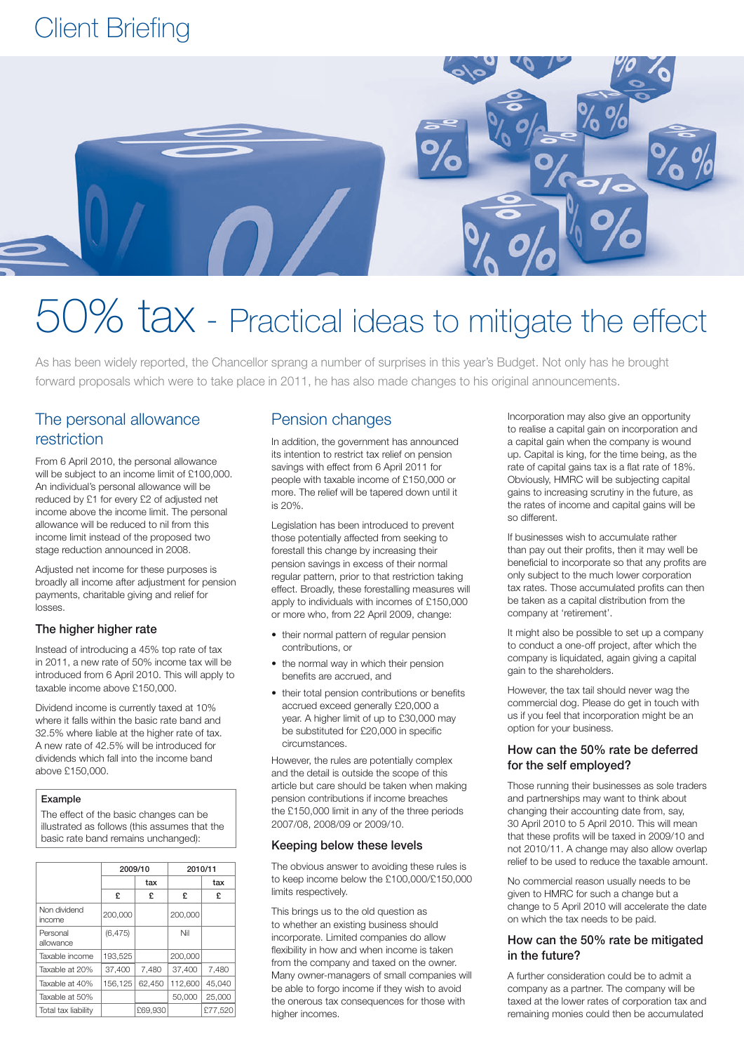# Client Briefing



# 0% tax - Practical ideas to mitigate the effect

As has been widely reported, the Chancellor sprang a number of surprises in this year's Budget. Not only has he brought forward proposals which were to take place in 2011, he has also made changes to his original announcements.

# The personal allowance restriction

From 6 April 2010, the personal allowance will be subject to an income limit of £100,000. An individual's personal allowance will be reduced by £1 for every £2 of adjusted net income above the income limit. The personal allowance will be reduced to nil from this income limit instead of the proposed two stage reduction announced in 2008.

Adjusted net income for these purposes is broadly all income after adjustment for pension payments, charitable giving and relief for losses.

#### The higher higher rate

Instead of introducing a 45% top rate of tax in 2011, a new rate of 50% income tax will be introduced from 6 April 2010. This will apply to taxable income above £150,000.

Dividend income is currently taxed at 10% where it falls within the basic rate band and 32.5% where liable at the higher rate of tax. A new rate of 42.5% will be introduced for dividends which fall into the income band above £150,000.

#### Example

The effect of the basic changes can be illustrated as follows (this assumes that the basic rate band remains unchanged):

|                        | 2009/10  |         | 2010/11 |         |
|------------------------|----------|---------|---------|---------|
|                        |          | tax     |         | tax     |
|                        | £        | £       | £       | £       |
| Non dividend<br>income | 200.000  |         | 200.000 |         |
| Personal<br>allowance  | (6, 475) |         | Nil     |         |
| Taxable income         | 193.525  |         | 200.000 |         |
| Taxable at 20%         | 37,400   | 7.480   | 37.400  | 7.480   |
| Taxable at 40%         | 156,125  | 62.450  | 112,600 | 45.040  |
| Taxable at 50%         |          |         | 50,000  | 25,000  |
| Total tax liability    |          | £69,930 |         | £77.520 |

# Pension changes

In addition, the government has announced its intention to restrict tax relief on pension savings with effect from 6 April 2011 for people with taxable income of £150,000 or more. The relief will be tapered down until it is 20%.

Legislation has been introduced to prevent those potentially affected from seeking to forestall this change by increasing their pension savings in excess of their normal regular pattern, prior to that restriction taking effect. Broadly, these forestalling measures will apply to individuals with incomes of £150,000 or more who, from 22 April 2009, change:

- their normal pattern of regular pension contributions, or
- the normal way in which their pension benefits are accrued, and
- their total pension contributions or benefits accrued exceed generally £20,000 a year. A higher limit of up to £30,000 may be substituted for £20,000 in specific circumstances.

However, the rules are potentially complex and the detail is outside the scope of this article but care should be taken when making pension contributions if income breaches the £150,000 limit in any of the three periods 2007/08, 2008/09 or 2009/10.

#### Keeping below these levels

The obvious answer to avoiding these rules is to keep income below the £100,000/£150,000 limits respectively.

This brings us to the old question as to whether an existing business should incorporate. Limited companies do allow flexibility in how and when income is taken from the company and taxed on the owner. Many owner-managers of small companies will be able to forgo income if they wish to avoid the onerous tax consequences for those with higher incomes.

Incorporation may also give an opportunity to realise a capital gain on incorporation and a capital gain when the company is wound up. Capital is king, for the time being, as the rate of capital gains tax is a flat rate of 18%. Obviously, HMRC will be subjecting capital gains to increasing scrutiny in the future, as the rates of income and capital gains will be so different.

If businesses wish to accumulate rather than pay out their profits, then it may well be beneficial to incorporate so that any profits are only subject to the much lower corporation tax rates. Those accumulated profits can then be taken as a capital distribution from the company at 'retirement'.

It might also be possible to set up a company to conduct a one-off project, after which the company is liquidated, again giving a capital gain to the shareholders.

However, the tax tail should never wag the commercial dog. Please do get in touch with us if you feel that incorporation might be an option for your business.

#### How can the 50% rate be deferred for the self employed?

Those running their businesses as sole traders and partnerships may want to think about changing their accounting date from, say, 30 April 2010 to 5 April 2010. This will mean that these profits will be taxed in 2009/10 and not 2010/11. A change may also allow overlap relief to be used to reduce the taxable amount.

No commercial reason usually needs to be given to HMRC for such a change but a change to 5 April 2010 will accelerate the date on which the tax needs to be paid.

#### How can the 50% rate be mitigated in the future?

A further consideration could be to admit a company as a partner. The company will be taxed at the lower rates of corporation tax and remaining monies could then be accumulated